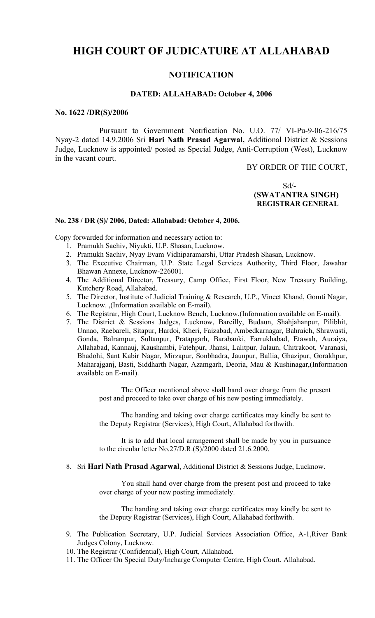# **HIGH COURT OF JUDICATURE AT ALLAHABAD**

## **NOTIFICATION**

#### **DATED: ALLAHABAD: October 4, 2006**

#### **No. 1622 /DR(S)/2006**

Pursuant to Government Notification No. U.O. 77/ VI-Pu-9-06-216/75 Nyay-2 dated 14.9.2006 Sri **Hari Nath Prasad Agarwal,** Additional District & Sessions Judge, Lucknow is appointed/ posted as Special Judge, Anti-Corruption (West), Lucknow in the vacant court.

BY ORDER OF THE COURT,

Sd/-  **(SWATANTRA SINGH) REGISTRAR GENERAL**

#### **No. 238 / DR (S)/ 2006, Dated: Allahabad: October 4, 2006.**

Copy forwarded for information and necessary action to:

- 1. Pramukh Sachiv, Niyukti, U.P. Shasan, Lucknow.
- 2. Pramukh Sachiv, Nyay Evam Vidhiparamarshi, Uttar Pradesh Shasan, Lucknow.
- 3. The Executive Chairman, U.P. State Legal Services Authority, Third Floor, Jawahar Bhawan Annexe, Lucknow-226001.
- 4. The Additional Director, Treasury, Camp Office, First Floor, New Treasury Building, Kutchery Road, Allahabad.
- 5. The Director, Institute of Judicial Training & Research, U.P., Vineet Khand, Gomti Nagar, Lucknow. ,(Information available on E-mail).
- 6. The Registrar, High Court, Lucknow Bench, Lucknow,(Information available on E-mail).
- 7. The District & Sessions Judges, Lucknow, Bareilly, Budaun, Shahjahanpur, Pilibhit, Unnao, Raebareli, Sitapur, Hardoi, Kheri, Faizabad, Ambedkarnagar, Bahraich, Shrawasti, Gonda, Balrampur, Sultanpur, Pratapgarh, Barabanki, Farrukhabad, Etawah, Auraiya, Allahabad, Kannauj, Kaushambi, Fatehpur, Jhansi, Lalitpur, Jalaun, Chitrakoot, Varanasi, Bhadohi, Sant Kabir Nagar, Mirzapur, Sonbhadra, Jaunpur, Ballia, Ghazipur, Gorakhpur, Maharajganj, Basti, Siddharth Nagar, Azamgarh, Deoria, Mau & Kushinagar,(Information available on E-mail).

The Officer mentioned above shall hand over charge from the present post and proceed to take over charge of his new posting immediately.

The handing and taking over charge certificates may kindly be sent to the Deputy Registrar (Services), High Court, Allahabad forthwith.

It is to add that local arrangement shall be made by you in pursuance to the circular letter No.27/D.R.(S)/2000 dated 21.6.2000.

8. Sri **Hari Nath Prasad Agarwal**, Additional District & Sessions Judge, Lucknow.

You shall hand over charge from the present post and proceed to take over charge of your new posting immediately.

The handing and taking over charge certificates may kindly be sent to the Deputy Registrar (Services), High Court, Allahabad forthwith.

- 9. The Publication Secretary, U.P. Judicial Services Association Office, A-1,River Bank Judges Colony, Lucknow.
- 10. The Registrar (Confidential), High Court, Allahabad.
- 11. The Officer On Special Duty/Incharge Computer Centre, High Court, Allahabad.